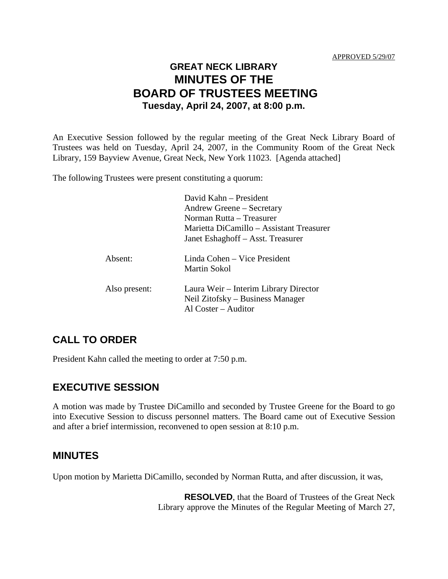# **GREAT NECK LIBRARY MINUTES OF THE BOARD OF TRUSTEES MEETING Tuesday, April 24, 2007, at 8:00 p.m.**

An Executive Session followed by the regular meeting of the Great Neck Library Board of Trustees was held on Tuesday, April 24, 2007, in the Community Room of the Great Neck Library, 159 Bayview Avenue, Great Neck, New York 11023. [Agenda attached]

The following Trustees were present constituting a quorum:

|               | David Kahn – President<br>Andrew Greene – Secretary<br>Norman Rutta – Treasurer<br>Marietta DiCamillo – Assistant Treasurer<br>Janet Eshaghoff – Asst. Treasurer |
|---------------|------------------------------------------------------------------------------------------------------------------------------------------------------------------|
| Absent:       | Linda Cohen – Vice President<br>Martin Sokol                                                                                                                     |
| Also present: | Laura Weir – Interim Library Director<br>Neil Zitofsky – Business Manager<br>Al Coster – Auditor                                                                 |

## **CALL TO ORDER**

President Kahn called the meeting to order at 7:50 p.m.

## **EXECUTIVE SESSION**

A motion was made by Trustee DiCamillo and seconded by Trustee Greene for the Board to go into Executive Session to discuss personnel matters. The Board came out of Executive Session and after a brief intermission, reconvened to open session at 8:10 p.m.

### **MINUTES**

Upon motion by Marietta DiCamillo, seconded by Norman Rutta, and after discussion, it was,

**RESOLVED**, that the Board of Trustees of the Great Neck Library approve the Minutes of the Regular Meeting of March 27,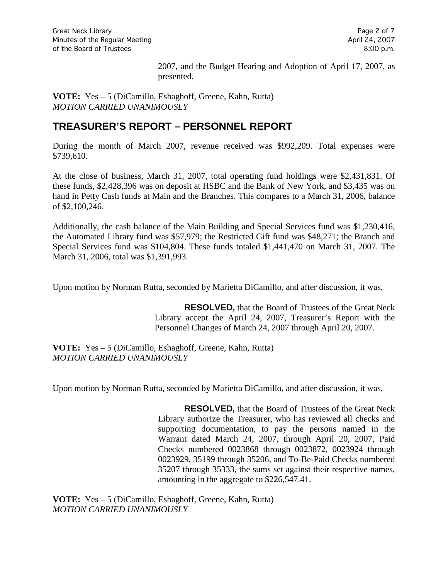2007, and the Budget Hearing and Adoption of April 17, 2007, as presented.

**VOTE:** Yes – 5 (DiCamillo, Eshaghoff, Greene, Kahn, Rutta) *MOTION CARRIED UNANIMOUSLY*

## **TREASURER'S REPORT – PERSONNEL REPORT**

During the month of March 2007, revenue received was \$992,209. Total expenses were \$739,610.

At the close of business, March 31, 2007, total operating fund holdings were \$2,431,831. Of these funds, \$2,428,396 was on deposit at HSBC and the Bank of New York, and \$3,435 was on hand in Petty Cash funds at Main and the Branches. This compares to a March 31, 2006, balance of \$2,100,246.

Additionally, the cash balance of the Main Building and Special Services fund was \$1,230,416, the Automated Library fund was \$57,979; the Restricted Gift fund was \$48,271; the Branch and Special Services fund was \$104,804. These funds totaled \$1,441,470 on March 31, 2007. The March 31, 2006, total was \$1,391,993.

Upon motion by Norman Rutta, seconded by Marietta DiCamillo, and after discussion, it was,

**RESOLVED,** that the Board of Trustees of the Great Neck Library accept the April 24, 2007, Treasurer's Report with the Personnel Changes of March 24, 2007 through April 20, 2007.

**VOTE:** Yes – 5 (DiCamillo, Eshaghoff, Greene, Kahn, Rutta) *MOTION CARRIED UNANIMOUSLY*

Upon motion by Norman Rutta, seconded by Marietta DiCamillo, and after discussion, it was,

**RESOLVED,** that the Board of Trustees of the Great Neck Library authorize the Treasurer, who has reviewed all checks and supporting documentation, to pay the persons named in the Warrant dated March 24, 2007, through April 20, 2007, Paid Checks numbered 0023868 through 0023872, 0023924 through 0023929, 35199 through 35206, and To-Be-Paid Checks numbered 35207 through 35333, the sums set against their respective names, amounting in the aggregate to \$226,547.41.

**VOTE:** Yes – 5 (DiCamillo, Eshaghoff, Greene, Kahn, Rutta) *MOTION CARRIED UNANIMOUSLY*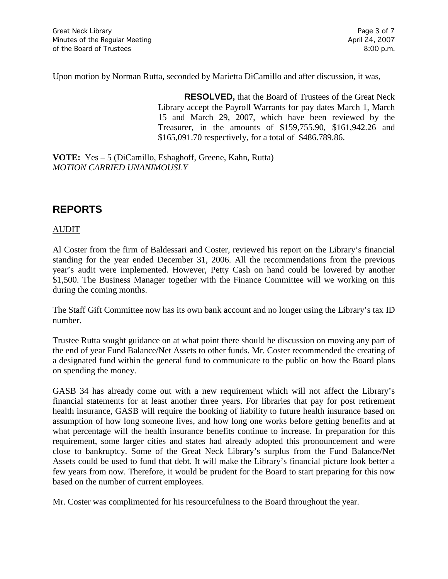Upon motion by Norman Rutta, seconded by Marietta DiCamillo and after discussion, it was,

**RESOLVED,** that the Board of Trustees of the Great Neck Library accept the Payroll Warrants for pay dates March 1, March 15 and March 29, 2007, which have been reviewed by the Treasurer, in the amounts of \$159,755.90, \$161,942.26 and \$165,091.70 respectively, for a total of \$486.789.86.

**VOTE:** Yes – 5 (DiCamillo, Eshaghoff, Greene, Kahn, Rutta) *MOTION CARRIED UNANIMOUSLY*

# **REPORTS**

### AUDIT

Al Coster from the firm of Baldessari and Coster, reviewed his report on the Library's financial standing for the year ended December 31, 2006. All the recommendations from the previous year's audit were implemented. However, Petty Cash on hand could be lowered by another \$1,500. The Business Manager together with the Finance Committee will we working on this during the coming months.

The Staff Gift Committee now has its own bank account and no longer using the Library's tax ID number.

Trustee Rutta sought guidance on at what point there should be discussion on moving any part of the end of year Fund Balance/Net Assets to other funds. Mr. Coster recommended the creating of a designated fund within the general fund to communicate to the public on how the Board plans on spending the money.

GASB 34 has already come out with a new requirement which will not affect the Library's financial statements for at least another three years. For libraries that pay for post retirement health insurance, GASB will require the booking of liability to future health insurance based on assumption of how long someone lives, and how long one works before getting benefits and at what percentage will the health insurance benefits continue to increase. In preparation for this requirement, some larger cities and states had already adopted this pronouncement and were close to bankruptcy. Some of the Great Neck Library's surplus from the Fund Balance/Net Assets could be used to fund that debt. It will make the Library's financial picture look better a few years from now. Therefore, it would be prudent for the Board to start preparing for this now based on the number of current employees.

Mr. Coster was complimented for his resourcefulness to the Board throughout the year.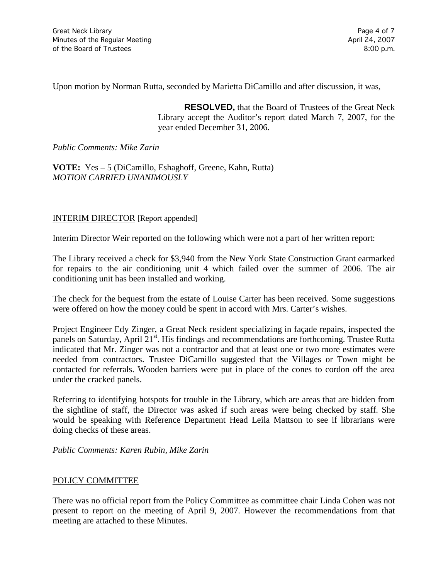Upon motion by Norman Rutta, seconded by Marietta DiCamillo and after discussion, it was,

**RESOLVED,** that the Board of Trustees of the Great Neck Library accept the Auditor's report dated March 7, 2007, for the year ended December 31, 2006.

#### *Public Comments: Mike Zarin*

**VOTE:** Yes – 5 (DiCamillo, Eshaghoff, Greene, Kahn, Rutta) *MOTION CARRIED UNANIMOUSLY*

#### INTERIM DIRECTOR [Report appended]

Interim Director Weir reported on the following which were not a part of her written report:

The Library received a check for \$3,940 from the New York State Construction Grant earmarked for repairs to the air conditioning unit 4 which failed over the summer of 2006. The air conditioning unit has been installed and working.

The check for the bequest from the estate of Louise Carter has been received. Some suggestions were offered on how the money could be spent in accord with Mrs. Carter's wishes.

Project Engineer Edy Zinger, a Great Neck resident specializing in façade repairs, inspected the panels on Saturday, April 21<sup>st</sup>. His findings and recommendations are forthcoming. Trustee Rutta indicated that Mr. Zinger was not a contractor and that at least one or two more estimates were needed from contractors. Trustee DiCamillo suggested that the Villages or Town might be contacted for referrals. Wooden barriers were put in place of the cones to cordon off the area under the cracked panels.

Referring to identifying hotspots for trouble in the Library, which are areas that are hidden from the sightline of staff, the Director was asked if such areas were being checked by staff. She would be speaking with Reference Department Head Leila Mattson to see if librarians were doing checks of these areas.

*Public Comments: Karen Rubin, Mike Zarin*

#### POLICY COMMITTEE

There was no official report from the Policy Committee as committee chair Linda Cohen was not present to report on the meeting of April 9, 2007. However the recommendations from that meeting are attached to these Minutes.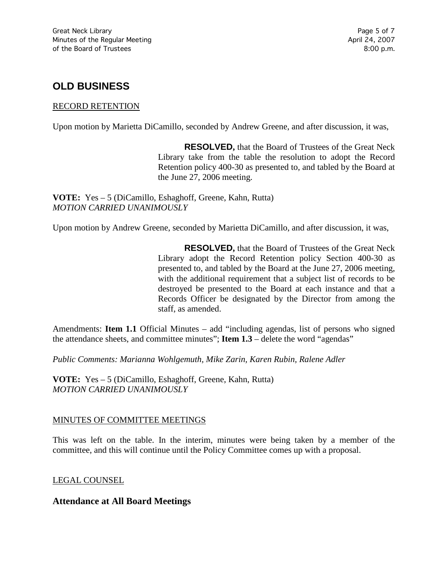# **OLD BUSINESS**

#### RECORD RETENTION

Upon motion by Marietta DiCamillo, seconded by Andrew Greene, and after discussion, it was,

**RESOLVED,** that the Board of Trustees of the Great Neck Library take from the table the resolution to adopt the Record Retention policy 400-30 as presented to, and tabled by the Board at the June 27, 2006 meeting.

**VOTE:** Yes – 5 (DiCamillo, Eshaghoff, Greene, Kahn, Rutta) *MOTION CARRIED UNANIMOUSLY*

Upon motion by Andrew Greene, seconded by Marietta DiCamillo, and after discussion, it was,

**RESOLVED,** that the Board of Trustees of the Great Neck Library adopt the Record Retention policy Section 400-30 as presented to, and tabled by the Board at the June 27, 2006 meeting, with the additional requirement that a subject list of records to be destroyed be presented to the Board at each instance and that a Records Officer be designated by the Director from among the staff, as amended.

Amendments: **Item 1.1** Official Minutes – add "including agendas, list of persons who signed the attendance sheets, and committee minutes"; **Item 1.3** – delete the word "agendas"

*Public Comments: Marianna Wohlgemuth, Mike Zarin, Karen Rubin, Ralene Adler*

**VOTE:** Yes – 5 (DiCamillo, Eshaghoff, Greene, Kahn, Rutta) *MOTION CARRIED UNANIMOUSLY*

#### MINUTES OF COMMITTEE MEETINGS

This was left on the table. In the interim, minutes were being taken by a member of the committee, and this will continue until the Policy Committee comes up with a proposal.

LEGAL COUNSEL

### **Attendance at All Board Meetings**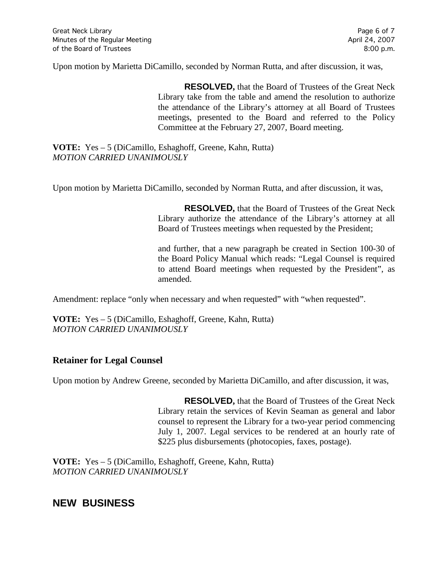Upon motion by Marietta DiCamillo, seconded by Norman Rutta, and after discussion, it was,

**RESOLVED,** that the Board of Trustees of the Great Neck Library take from the table and amend the resolution to authorize the attendance of the Library's attorney at all Board of Trustees meetings, presented to the Board and referred to the Policy Committee at the February 27, 2007, Board meeting.

**VOTE:** Yes – 5 (DiCamillo, Eshaghoff, Greene, Kahn, Rutta) *MOTION CARRIED UNANIMOUSLY*

Upon motion by Marietta DiCamillo, seconded by Norman Rutta, and after discussion, it was,

**RESOLVED,** that the Board of Trustees of the Great Neck Library authorize the attendance of the Library's attorney at all Board of Trustees meetings when requested by the President;

and further, that a new paragraph be created in Section 100-30 of the Board Policy Manual which reads: "Legal Counsel is required to attend Board meetings when requested by the President", as amended.

Amendment: replace "only when necessary and when requested" with "when requested".

**VOTE:** Yes – 5 (DiCamillo, Eshaghoff, Greene, Kahn, Rutta) *MOTION CARRIED UNANIMOUSLY*

### **Retainer for Legal Counsel**

Upon motion by Andrew Greene, seconded by Marietta DiCamillo, and after discussion, it was,

**RESOLVED,** that the Board of Trustees of the Great Neck Library retain the services of Kevin Seaman as general and labor counsel to represent the Library for a two-year period commencing July 1, 2007. Legal services to be rendered at an hourly rate of \$225 plus disbursements (photocopies, faxes, postage).

**VOTE:** Yes – 5 (DiCamillo, Eshaghoff, Greene, Kahn, Rutta) *MOTION CARRIED UNANIMOUSLY*

## **NEW BUSINESS**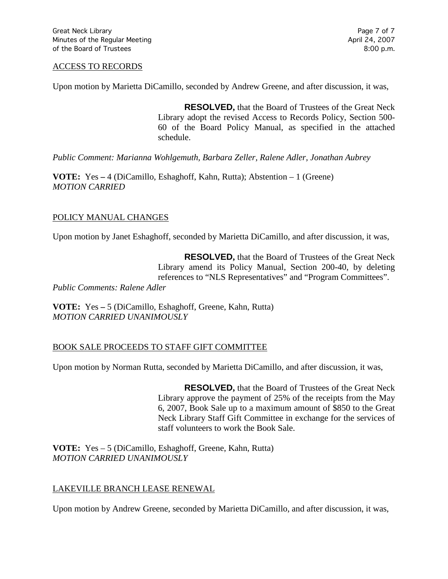#### ACCESS TO RECORDS

Upon motion by Marietta DiCamillo, seconded by Andrew Greene, and after discussion, it was,

**RESOLVED,** that the Board of Trustees of the Great Neck Library adopt the revised Access to Records Policy, Section 500- 60 of the Board Policy Manual, as specified in the attached schedule.

*Public Comment: Marianna Wohlgemuth, Barbara Zeller, Ralene Adler, Jonathan Aubrey*

**VOTE:** Yes **–** 4 (DiCamillo, Eshaghoff, Kahn, Rutta); Abstention – 1 (Greene) *MOTION CARRIED* 

### POLICY MANUAL CHANGES

Upon motion by Janet Eshaghoff, seconded by Marietta DiCamillo, and after discussion, it was,

**RESOLVED,** that the Board of Trustees of the Great Neck Library amend its Policy Manual, Section 200-40, by deleting references to "NLS Representatives" and "Program Committees". *Public Comments: Ralene Adler*

**VOTE:** Yes **–** 5 (DiCamillo, Eshaghoff, Greene, Kahn, Rutta) *MOTION CARRIED UNANIMOUSLY*

#### BOOK SALE PROCEEDS TO STAFF GIFT COMMITTEE

Upon motion by Norman Rutta, seconded by Marietta DiCamillo, and after discussion, it was,

**RESOLVED,** that the Board of Trustees of the Great Neck Library approve the payment of 25% of the receipts from the May 6, 2007, Book Sale up to a maximum amount of \$850 to the Great Neck Library Staff Gift Committee in exchange for the services of staff volunteers to work the Book Sale.

**VOTE:** Yes – 5 (DiCamillo, Eshaghoff, Greene, Kahn, Rutta) *MOTION CARRIED UNANIMOUSLY*

#### LAKEVILLE BRANCH LEASE RENEWAL

Upon motion by Andrew Greene, seconded by Marietta DiCamillo, and after discussion, it was,